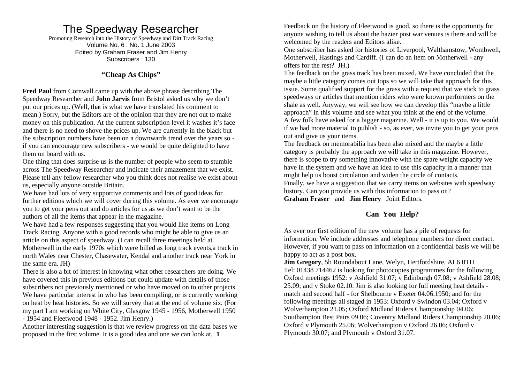# The Speedway Researcher

Promoting Research into the History of Speedway and Dirt Track Racing Volume No. 6 . No. 1 June 2003 Edited by Graham Fraser and Jim Henry Subscribers : 130

## **"Cheap As Chips"**

**Fred Paul** from Cornwall came up with the above phrase describing The Speedway Researcher and **John Jarvis** from Bristol asked us why we don't put our prices up. (Well, that is what we have translated his comment to mean.) Sorry, but the Editors are of the opinion that they are not out to make money on this publication. At the current subscription level it washes it's face and there is no need to shove the prices up. We are currently in the black but the subscription numbers have been on a downwards trend over the years so if you can encourage new subscribers - we would be quite delighted to have them on board with us.

One thing that does surprise us is the number of people who seem to stumble across The Speedway Researcher and indicate their amazement that we exist. Please tell any fellow researcher who you think does not realise we exist about us, especially anyone outside Britain.

We have had lots of very supportive comments and lots of good ideas for further editions which we will cover during this volume. As ever we encourage you to get your pens out and do articles for us as we don't want to be the authors of all the items that appear in the magazine.

We have had a few responses suggesting that you would like items on Long Track Racing. Anyone with a good records who might be able to give us an article on this aspect of speedway. (I can recall three meetings held at Motherwell in the early 1970s which were billed as long track events,a track in north Wales near Chester, Chasewater, Kendal and another track near York in the same era. JH)

There is also a bit of interest in knowing what other researchers are doing. We have covered this in previous editions but could update with details of those subscribers not previously mentioned or who have moved on to other projects. We have particular interest in who has been compiling, or is currently working on heat by heat histories. So we will survey that at the end of volume six. (For my part I am working on White City, Glasgow 1945 - 1956, Motherwell 1950 - 1954 and Fleetwood 1948 - 1952. Jim Henry.)

Another interesting suggestion is that we review progress on the data bases we proposed in the first volume. It is a good idea and one we can look at. **1**

Feedback on the history of Fleetwood is good, so there is the opportunity for anyone wishing to tell us about the hazier post war venues is there and will be welcomed by the readers and Editors alike.

One subscriber has asked for histories of Liverpool, Walthamstow, Wombwell, Motherwell, Hastings and Cardiff. (I can do an item on Motherwell - any offers for the rest? JH.)

The feedback on the grass track has been mixed. We have concluded that the maybe a little category comes out tops so we will take that approach for this issue. Some qualified support for the grass with a request that we stick to grass speedways or articles that mention riders who were known performers on the shale as well. Anyway, we will see how we can develop this "maybe a little approach" in this volume and see what you think at the end of the volume. A few folk have asked for a bigger magazine. Well - it is up to you. We would if we had more material to publish - so, as ever, we invite you to get your pens out and give us your items.

The feedback on memorabilia has been also mixed and the maybe a little category is probably the approach we will take in this magazine. However, there is scope to try something innovative with the spare weight capacity we have in the system and we have an idea to use this capacity in a manner that might help us boost circulation and widen the circle of contacts.

Finally, we have a suggestion that we carry items on websites with speedway history. Can you provide us with this information to pass on? **Graham Fraser** and **Jim Henry** Joint Editors.

### **Can You Help?**

As ever our first edition of the new volume has a pile of requests for information. We include addresses and telephone numbers for direct contact. However, if you want to pass on information on a confidential basis we will be happy to act as a post box.

**Jim Gregory**, 5b Roundabout Lane, Welyn, Hertfordshire, AL6 0TH Tel: 01438 714462 is looking for photocopies programmes for the following Oxford meetings 1952: v Ashfield 31.07; v Edinburgh 07.08; v Ashfield 28.08; 25.09; and v Stoke 02.10. Jim is also looking for full meeting heat details match and second half - for Shelbourne v Exeter 04.06.1950; and for the following meetings all staged in 1953: Oxford v Swindon 03.04; Oxford v Wolverhampton 21.05; Oxford Midland Riders Championship 04.06; Southampton Best Pairs 09.06; Coventry Midland Riders Championship 20.06; Oxford v Plymouth 25.06; Wolverhampton v Oxford 26.06; Oxford v Plymouth 30.07; and Plymouth v Oxford 31.07.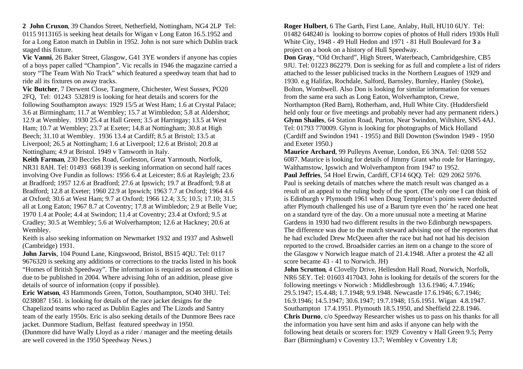**2 John Cruxon**, 39 Chandos Street, Netherfield, Nottingham, NG4 2LP Tel: 0115 9113165 is seeking heat details for Wigan v Long Eaton 16.5.1952 and for a Long Eaton match in Dublin in 1952. John is not sure which Dublin track staged this fixture.

**Vic Vanni**, 26 Baker Street, Glasgow, G41 3YE wonders if anyone has copies of a boys paper called "Champion". Vic recalls in 1946 the magazine carried a story "The Team With No Track" which featured a speedway team that had to ride all its fixtures on away tracks.

**Vic Butcher**, 7 Derwent Close, Tangmere, Chichester, West Sussex, PO20 2FQ, Tel: 01243 532819 is looking for heat details and scorers for the following Southampton aways: 1929 15/5 at West Ham; 1.6 at Crystal Palace; 3.6 at Birmingham; 11.7 at Wembley; 15.7 at Wimbledon; 5.8 at Aldershot; 12.9 at Wembley. 1930 25.4 at Hall Green; 3.5 at Harringay; 13.5 at West Ham; 10.7 at Wembley; 23.7 at Exeter; 14.8 at Nottingham; 30.8 at High Beech; 31.10 at Wembley. 1936 13.4 at Cardiff; 8.5 at Bristol; 13.5 at Liverpool; 26.5 at Nottingham; 1.6 at Liverpool; 12.6 at Bristol; 20.8 at Nottingham; 4.9 at Bristol. 1949 v Tamworth in Italy.

**Keith Farman**, 230 Beccles Road, Gorleston, Great Yarmouth, Norfolk, NR31 8AH. Tel: 01493 668139 is seeking information on second half races involving Ove Fundin as follows: 1956 6.4 at Leicester; 8.6 at Rayleigh; 23.6 at Bradford; 1957 12.6 at Bradford; 27.6 at Ipswich; 19.7 at Bradford; 9.8 at Bradford; 12.8 at Exeter; 1960 22.9 at Ipswich; 1963 7.7 at Oxford; 1964 4.6 at Oxford; 30.6 at West Ham; 9.7 at Oxford; 1966 12.4; 3.5; 10.5; 17.10; 31.5 all at Long Eaton; 1967 8.7 at Coventry; 17.8 at Wimbledon; 2.9 at Belle Vue; 1970 1.4 at Poole; 4.4 at Swindon; 11.4 at Coventry; 23.4 at Oxford; 9.5 at Cradley; 30.5 at Wembley; 5.6 at Wolverhampton; 12.6 at Hackney; 20.6 at Wembley.

Keith is also seeking information on Newmarket 1932 and 1937 and Ashwell (Cambridge) 1931.

**John Jarvis**, 104 Pound Lane, Kingswood, Bristol, BS15 4QU. Tel: 0117 9676320 is seeking any additions or corrections to the tracks listed in his book "Homes of British Speedway". The information is required as second edition is due to be published in 2004. Where advising John of an addition, please give details of source of information (copy if possible).

**Eric Watson**, 43 Hammonds Green, Totton, Southampton, SO40 3HU. Tel: 0238087 1561. is looking for details of the race jacket designs for the Chapelizod teams who raced as Dublin Eagles and The Lizods and Santry team of the early 1950s. Eric is also seeking details of the Dunmore Bees race jacket. Dunmore Stadium, Belfast featured speedway in 1950.

(Dunmore did have Wally Lloyd as a rider / manager and the meeting details are well covered in the 1950 Speedway News.)

**Roger Hulbert**, 6 The Garth, First Lane, Anlaby, Hull, HU10 6UY. Tel: 01482 648240 is looking to borrow copies of photos of Hull riders 1930s Hull White City, 1948 - 49 Hull Hedon and 1971 - 81 Hull Boulevard for **3** a project on a book on a history of Hull Speedway.

**Don Gray**, "Old Orchard", High Street, Waterbeach, Cambridgeshire, CB5 9JU. Tel: 01223 862279. Don is seeking for as full and complete a list of riders attached to the lesser publicised tracks in the Northern Leagues of 1929 and 1930. e.g Halifax, Rochdale, Salford, Barnsley, Burnley, Hanley (Stoke), Bolton, Wombwell. Also Don is looking for similar information for venues from the same era such as Long Eaton, Wolverhampton, Crewe, Northampton (Red Barn), Rotherham, and, Hull White City. (Huddersfield held only four or five meetings and probably never had any permanent riders.) **Glynn Shailes**, 64 Station Road, Purton, Near Swindon, Wiltshire, SN5 4AJ. Tel: 01793 770009. Glynn is looking for photographs of Mick Holland (Cardiff and Swindon 1941 - 1955) and Bill Downton (Swindon 1949 - 1950 and Exeter 1950.)

**Maurice Archard**, 99 Pulleyns Avenue, London, E6 3NA. Tel: 0208 552 6087. Maurice is looking for details of Jimmy Grant who rode for Harringay, Walthamstow, Ipswich and Wolverhampton from 1947 to 1952.

**Paul Jeffries**, 54 Hoel Erwin, Cardiff, CF14 6QQ. Tel: 029 2062 5976. Paul is seeking details of matches where the match result was changed as a result of an appeal to the ruling body of the sport. (The only one I can think of is Edinburgh v Plymouth 1961 when Doug Templeton's points were deducted after Plymouth challenged his use of a Barum tyre even tho' he raced one heat on a standard tyre of the day. On a more unusual note a meeting at Marine Gardens in 1930 had two different results in the two Edinburgh newspapers. The difference was due to the match steward advising one of the reporters that he had excluded Drew McQueen after the race but had not had his decision reported to the crowd. Broadsider carries an item on a change to the score of the Glasgow v Norwich league match of 21.4.1948. After a protest the 42 all score became 43 - 41 to Norwich. JH)

**John Scrutton**, 4 Clovelly Drive, Hellesdon Hall Road, Norwich, Norfolk, NR6 5EY. Tel: 01603 417043. John is looking for details of the scorers for the following meetings v Norwich : Middlesbrough 13.6.1946; 4.7.1946; 29.5.1947; 15.4.48; 1.7.1948; 9.9.1948. Newcastle 17.6.1946; 6.7.1946; 16.9.1946; 14.5.1947; 30.6.1947; 19.7.1948; 15.6.1951. Wigan 4.8.1947. Southampton 17.4.1951. Plymouth 18.5.1950, and Sheffield 22.8.1946. **Chris Durno**, c/o Speedway Researcher wishes us to pass on his thanks for all the information you have sent him and asks if anyone can help with the following heat details or scorers for: 1929 Coventry v Hall Green 9.5; Perry Barr (Birmingham) v Coventry 13.7; Wembley v Coventry 1.8;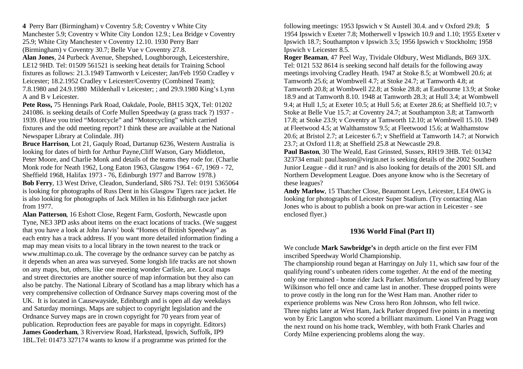**4** Perry Barr (Birmingham) v Coventry 5.8; Coventry v White City Manchester 5.9; Coventry v White City London 12.9.; Lea Bridge v Coventry 25.9; White City Manchester v Coventry 12.10. 1930 Perry Barr (Birmingham) v Coventry 30.7; Belle Vue v Coventry 27.8.

**Alan Jones**, 24 Purbeck Avenue, Shepshed, Loughborough, Leicestershire, LE12 9HD. Tel: 01509 561521 is seeking heat details for Training School fixtures as follows: 21.3.1949 Tamworth v Leicester; Jan/Feb 1950 Cradley v Leicester; 18.2.1952 Cradley v Leicester/Coventry (Combined Team); 7.8.1980 and 24.9.1980 Mildenhall v Leicester; ; and 29.9.1980 King's Lynn A and B v Leicester.

**Pete Ross,** 75 Hennings Park Road, Oakdale, Poole, BH15 3QX, Tel: 01202 241086. is seeking details of Corfe Mullen Speedway (a grass track ?) 1937 - 1939. (Have you tried "Motorcycle" and "Motorcycling" which carried fixtures and the odd meeting report? I think these are available at the National Newspaper Library at Colindale. JH)

**Bruce Harrison**, Lot 21, Gaquly Road, Dartanup 6236, Western Australia is looking for dates of birth for Arthur Payne,Cliff Watson, Gary Middleton, Peter Moore, and Charlie Monk and details of the teams they rode for. (Charlie Monk rode for Neath 1962, Long Eaton 1963, Glasgow 1964 - 67, 1969 - 72, Sheffield 1968, Halifax 1973 - 76, Edinburgh 1977 and Barrow 1978.) **Bob Ferry**, 13 West Drive, Cleadon, Sunderland, SR6 7SJ. Tel: 0191 5365064 is looking for photographs of Russ Dent in his Glasgow Tigers race jacket. He is also looking for photographs of Jack Millen in his Edinburgh race jacket from 1977.

**Alan Patterson**, 16 Eshott Close, Regent Farm, Gosforth, Newcastle upon Tyne, NE3 3PD asks about items on the exact locations of tracks. (We suggest that you have a look at John Jarvis' book "Homes of British Speedway" as each entry has a track address. If you want more detailed information finding a map may mean visits to a local library in the town nearest to the track or www.multimap.co.uk. The coverage by the ordnance survey can be patchy as it depends when an area was surveyed. Some longish life tracks are not shown on any maps, but, others, like one meeting wonder Carlisle, are. Local maps and street directories are another source of map information but they also can also be patchy. The National Library of Scotland has a map library which has a very comprehensive collection of Ordnance Survey maps covering most of the UK. It is located in Causewayside, Edinburgh and is open all day weekdays and Saturday mornings. Maps are subject to copyright legislation and the Ordnance Survey maps are in crown copyright for 70 years from year of publication. Reproduction fees are payable for maps in copyright. Editors) **James Gooderham**, 3 Riverview Road, Harkstead, Ipswich, Suffolk, IP9 1BL.Tel: 01473 327174 wants to know if a programme was printed for the

following meetings: 1953 Ipswich v St Austell 30.4. and v Oxford 29.8; **5**  1954 Ipswich v Exeter 7.8; Motherwell v Ipswich 10.9 and 1.10; 1955 Exeter v Ipswich 18.7; Southampton v Ipswich 3.5; 1956 Ipswich v Stockholm; 1958 Ipswich v Leicester 8.5.

**Roger Beaman**, 47 Peel Way, Tividale Oldbury, West Midlands, B69 3JX. Tel: 0121 532 8614 is seeking second half details for the following away meetings involving Cradley Heath. 1947 at Stoke 8.5; at Wombwell 20.6; at Tamworth 25.6; at Wombwell 4.7; at Stoke 24.7; at Tamworth 4.8; at Tamworth 20.8; at Wombwell 22.8; at Stoke 28.8; at Eastbourne 13.9; at Stoke 18.9 and at Tamworth 8.10. 1948 at Tamworth 28.3; at Hull 3.4; at Wombwell 9.4; at Hull 1,5; at Exeter 10.5; at Hull 5.6; at Exeter 28.6; at Sheffield 10.7; v Stoke at Belle Vue 15.7; at Coventry 24.7; at Southampton 3.8; at Tamworth 17.8; at Stoke 23.9; v Coventry at Tamworth 12.10; at Wombwell 15.10. 1949 at Fleetwood 4.5; at Walthamstow 9.5; at Fleetwood 15.6; at Walthamstow 20.6; at Bristol 2.7; at Leicester 6.7; v Sheffield at Tamworth 14.7; at Norwich 23.7; at Oxford 11.8; at Sheffield 25.8 at Newcastle 29.8.

**Paul Baston**, 30 The Weald, East Grinsted, Sussex, RH19 3HB. Tel: 01342 323734 email: paul.baston@virgin.net is seeking details of the 2002 Southern Junior League - did it run? and is also looking for details of the 2001 SJL and Northern Development League. Does anyone know who is the Secretary of these leagues?

**Andy Marlow**, 15 Thatcher Close, Beaumont Leys, Leicester, LE4 0WG is looking for photographs of Leicester Super Stadium. (Try contacting Alan Jones who is about to publish a book on pre-war action in Leicester - see enclosed flyer.)

## **1936 World Final (Part II)**

We conclude **Mark Sawbridge's** in depth article on the first ever FIM inscribed Speedway World Championship.

The championship round began at Harringay on July 11, which saw four of the qualifying round's unbeaten riders come together. At the end of the meeting only one remained - home rider Jack Parker. Misfortune was suffered by Bluey Wilkinson who fell once and came last in another. These dropped points were to prove costly in the long run for the West Ham man. Another rider to experience problems was New Cross hero Ron Johnson, who fell twice. Three nights later at West Ham, Jack Parker dropped five points in a meeting won by Eric Langton who scored a brilliant maximum. Lionel Van Pragg won the next round on his home track, Wembley, with both Frank Charles and Cordy Milne experiencing problems along the way.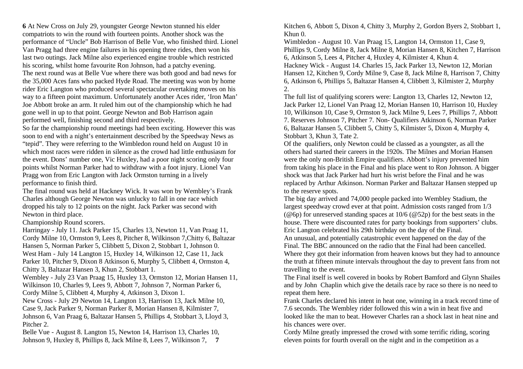**6** At New Cross on July 29, youngster George Newton stunned his elder compatriots to win the round with fourteen points. Another shock was the performance of "Uncle" Bob Harrison of Belle Vue, who finished third. Lionel Van Pragg had three engine failures in his opening three rides, then won his last two outings. Jack Milne also experienced engine trouble which restricted his scoring, whilst home favourite Ron Johnson, had a patchy evening. The next round was at Belle Vue where there was both good and bad news for the 35,000 Aces fans who packed Hyde Road. The meeting was won by home rider Eric Langton who produced several spectacular overtaking moves on his way to a fifteen point maximum. Unfortunately another Aces rider, 'Iron Man' Joe Abbott broke an arm. It ruled him out of the championship which he had gone well in up to that point. George Newton and Bob Harrison again performed well, finishing second and third respectively.

So far the championship round meetings had been exciting. However this was soon to end with a night's entertainment described by the Speedway News as "tepid". They were referring to the Wimbledon round held on August 10 in which most races were ridden in silence as the crowd had little enthusiasm for the event. Dons' number one, Vic Huxley, had a poor night scoring only four points whilst Norman Parker had to withdraw with a foot injury. Lionel Van Pragg won from Eric Langton with Jack Ormston turning in a lively performance to finish third.

The final round was held at Hackney Wick. It was won by Wembley's Frank Charles although George Newton was unlucky to fall in one race which dropped his taly to 12 points on the night. Jack Parker was second with Newton in third place.

Championship Round scorers.

Harringay - July 11. Jack Parker 15, Charles 13, Newton 11, Van Praag 11, Cordy Milne 10, Ormston 9, Lees 8, Pitcher 8, Wilkinson 7,Chitty 6, Baltazar Hansen 5, Norman Parker 5, Clibbett 5, Dixon 2, Stobbart 1, Johnson 0. West Ham - July 14 Langton 15, Huxley 14, Wilkinson 12, Case 11, Jack Parker 10, Pitcher 9, Dixon 8 Atkinson 6, Murphy 5, Clibbett 4, Ormston 4, Chitty 3, Baltazar Hansen 3, Khun 2, Stobbart 1.

Wembley - July 23 Van Praag 15, Huxley 13, Ormston 12, Morian Hansen 11, Wilkinson 10, Charles 9, Lees 9, Abbott 7, Johnson 7, Norman Parker 6, Cordy Milne 5, Clibbett 4, Murphy 4, Atkinson 3, Dixon 1.

New Cross - July 29 Newton 14, Langton 13, Harrison 13, Jack Milne 10, Case 9, Jack Parker 9, Norman Parker 8, Morian Hansen 8, Kilmister 7, Johnson 6, Van Praag 6, Baltazar Hansen 5, Phillips 4, Stobbart 3, Lloyd 3,

Pitcher 2. Belle Vue - August 8. Langton 15, Newton 14, Harrison 13, Charles 10,

Johnson 9, Huxley 8, Phillips 8, Jack Milne 8, Lees 7, Wilkinson 7, **7** 

Kitchen 6, Abbott 5, Dixon 4, Chitty 3, Murphy 2, Gordon Byers 2, Stobbart 1, Khun 0.

Wimbledon - August 10. Van Praag 15, Langton 14, Ormston 11, Case 9, Phillips 9, Cordy Milne 8, Jack Milne 8, Morian Hansen 8, Kitchen 7, Harrison 6, Atkinson 5, Lees 4, Pitcher 4, Huxley 4, Kilmister 4, Khun 4.

Hackney Wick - August 14. Charles 15, Jack Parker 13, Newton 12, Morian Hansen 12, Kitchen 9, Cordy Milne 9, Case 8, Jack Milne 8, Harrison 7, Chitty 6, Atkinson 6, Phillips 5, Baltazar Hansen 4, Clibbett 3, Kilmister 2, Murphy 2.

The full list of qualifying scorers were: Langton 13, Charles 12, Newton 12, Jack Parker 12, Lionel Van Praag 12, Morian Hansen 10, Harrison 10, Huxley 10, Wilkinson 10, Case 9, Ormston 9, Jack Milne 9, Lees 7, Phillips 7, Abbott 7. Reserves Johnson 7, Pitcher 7. Non- Qualifiers Atkinson 6, Norman Parker 6, Baltazar Hansen 5, Clibbett 5, Chitty 5, Kilmister 5, Dixon 4, Murphy 4, Stobbart 3, Khun 3, Tate 2.

Of the qualifiers, only Newton could be classed as a youngster, as all the others had started their careers in the 1920s. The Milnes and Morian Hansen were the only non-British Empire qualifiers. Abbott's injury prevented him from taking his place in the Final and his place went to Ron Johnson. A bigger shock was that Jack Parker had hurt his wrist before the Final and he was replaced by Arthur Atkinson. Norman Parker and Baltazar Hansen stepped up to the reserve spots.

The big day arrived and 74,000 people packed into Wembley Stadium, the largest speedway crowd ever at that point. Admission costs ranged from 1/3 ( $@6p$ ) for unreserved standing spaces at 10/6 ( $@52p$ ) for the best seats in the house. There were discounted rates for party bookings from supporters' clubs. Eric Langton celebrated his 29th birthday on the day of the Final.

An unusual, and potentially catastrophic event happened on the day of the Final. The BBC announced on the radio that the Final had been cancelled. Where they got their information from heaven knows but they had to announce the truth at fifteen minute intervals throughout the day to prevent fans from not travelling to the event.

The Final itself is well covered in books by Robert Bamford and Glynn Shailes and by John Chaplin which give the details race by race so there is no need to repeat them here.

Frank Charles declared his intent in heat one, winning in a track record time of 7.6 seconds. The Wembley rider followed this win a win in heat five and looked like the man to beat. However Charles ran a shock last in heat nine and his chances were over.

Cordy Milne greatly impressed the crowd with some terrific riding, scoring eleven points for fourth overall on the night and in the competition as a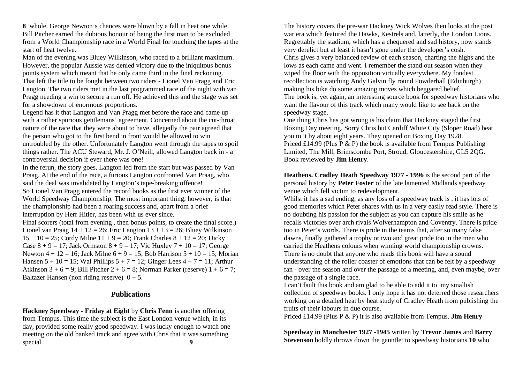**8** whole. George Newton's chances were blown by a fall in heat one while Bill Pitcher earned the dubious honour of being the first man to be excluded from a World Championship race in a World Final for touching the tapes at the start of heat twelve.

Man of the evening was Bluey Wilkinson, who raced to a brilliant maximum. However, the popular Aussie was denied victory due to the iniquitous bonus points system which meant that he only came third in the final reckoning. That left the title to be fought between two riders - Lionel Van Pragg and Eric Langton. The two riders met in the last programmed race of the night with van Pragg needing a win to secure a run off. He achieved this and the stage was set for a showdown of enormous proportions.

Legend has it that Langton and Van Pragg met before the race and came up with a rather spurious gentlemans' agreement. Concerned about the cut-throat nature of the race that they were about to have, allegedly the pair agreed that the person who got to the first bend in front would be allowed to win untroubled by the other. Unfortunately Langton went through the tapes to spoil things rather. The ACU Steward, Mr. J. O'Neill, allowed Langton back in - a controversial decision if ever there was one!

In the rerun, the story goes, Langton led from the start but was passed by Van Praag. At the end of the race, a furious Langton confronted Van Praag, who said the deal was invalidated by Langton's tape-breaking offence!

So Lionel Van Pragg entered the record books as the first ever winner of the World Speedway Championship. The most important thing, however, is that the championship had been a roaring success and, apart from a brief interruption by Herr Hitler, has been with us ever since.

Final scorers (total from evening , then bonus points, to create the final score.) Lionel van Praag  $14 + 12 = 26$ ; Eric Langton  $13 + 13 = 26$ ; Bluey Wilkinson  $15 + 10 = 25$ ; Cordy Milne  $11 + 9 = 20$ ; Frank Charles  $8 + 12 = 20$ ; Dicky Case  $8 + 9 = 17$ ; Jack Ormston  $8 + 9 = 17$ ; Vic Huxley  $7 + 10 = 17$ ; George Newton  $4 + 12 = 16$ ; Jack Milne  $6 + 9 = 15$ ; Bob Harrison  $5 + 10 = 15$ ; Morian Hansen  $5 + 10 = 15$ ; Wal Phillips  $5 + 7 = 12$ ; Ginger Lees  $4 + 7 = 11$ ; Arthur Atkinson  $3 + 6 = 9$ ; Bill Pitcher  $2 + 6 = 8$ ; Norman Parker (reserve)  $1 + 6 = 7$ ; Baltazer Hansen (non riding reserve)  $0 + 5$ .

#### **Publications**

**Hackney Speedway - Friday at Eight** by **Chris Fenn** is another offering from Tempus. This time the subject is the East London venue which, in its day, provided some really good speedway. I was lucky enough to watch one meeting on the old banked track and agree with Chris that it was something special. **9** 

The history covers the pre-war Hackney Wick Wolves then looks at the post war era which featured the Hawks, Kestrels and, latterly, the London Lions. Regrettably the stadium, which has a chequered and sad history, now stands very derelict but at least it hasn't gone under the developer's cosh. Chris gives a very balanced review of each season, charting the highs and the lows as each came and went. I remember the stand out season when they wiped the floor with the opposition virtually everywhere. My fondest recollection is watching Andy Galvin fly round Powderhall (Edinburgh) making his bike do some amazing moves which beggared belief. The book is, yet again, an interesting source book for speedway historians who want the flavour of this track which many would like to see back on the speedway stage.

One thing Chris has got wrong is his claim that Hackney staged the first Boxing Day meeting. Sorry Chris but Cardiff White City (Sloper Road) beat you to it by about eight years. They opened on Boxing Day 1928. Priced £14.99 (Plus P  $\&$  P) the book is available from Tempus Publishing Limited, The Mill, Brimscombe Port, Stroud, Gloucestershire, GL5 2QG. Book reviewed by **Jim Henry**.

**Heathens. Cradley Heath Speedway 1977 - 1996** is the second part of the personal history by **Peter Foster** of the late lamented Midlands speedway venue which fell victim to redevelopment.

Whilst it has a sad ending, as any loss of a speedway track is, it has lots of good memories which Peter shares with us in a very easily read style. There is no doubting his passion for the subject as you can capture his smile as he recalls victories over arch rivals Wolverhampton and Coventry. There is pride too in Peter's words. There is pride in the teams that, after so many false dawns, finally gathered a trophy or two and great pride too in the men who carried the Heathens colours when winning world championship crowns. There is no doubt that anyone who reads this book will have a sound understanding of the roller coaster of emotions that can be felt by a speedway fan - over the season and over the passage of a meeting, and, even maybe, over the passage of a single race.

I can't fault this book and am glad to be able to add it to my smallish collection of speedway books. I only hope it has not deterred those researchers working on a detailed heat by heat study of Cradley Heath from publishing the fruits of their labours in due course.

Priced £14.99 (Plus P & P) it is also available from Tempus. **Jim Henry**

**Speedway in Manchester 1927 -1945** written by **Trevor James** and **Barry Stevenson** boldly throws down the gauntlet to speedway historians **10** who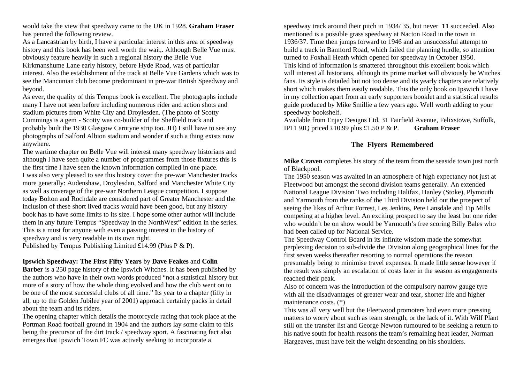would take the view that speedway came to the UK in 1928. **Graham Fraser**  has penned the following review.

As a Lancastrian by birth, I have a particular interest in this area of speedway history and this book has been well worth the wait,. Although Belle Vue must obviously feature heavily in such a regional history the Belle Vue

Kirkmanshume Lane early history, before Hyde Road, was of particular interest. Also the establishment of the track at Belle Vue Gardens which was to see the Mancunian club become predominant in pre-war British Speedway and beyond.

As ever, the quality of this Tempus book is excellent. The photographs include many I have not seen before including numerous rider and action shots and stadium pictures from White City and Droylesden. (The photo of Scotty Cummings is a gem - Scotty was co-builder of the Sheffield track and probably built the 1930 Glasgow Carntyne strip too. JH) I still have to see any photographs of Salford Albion stadium and wonder if such a thing exists now anywhere.

The wartime chapter on Belle Vue will interest many speedway historians and although I have seen quite a number of programmes from those fixtures this is the first time I have seen the known information compiled in one place. I was also very pleased to see this history cover the pre-war Manchester tracks more generally: Audenshaw, Droylesdan, Salford and Manchester White City as well as coverage of the pre-war Northern League competition. I suppose today Bolton and Rochdale are considered part of Greater Manchester and the inclusion of these short lived tracks would have been good, but any history book has to have some limits to its size. I hope some other author will include them in any future Tempus "Speedway in the NorthWest" edition in the series. This is a must for anyone with even a passing interest in the history of speedway and is very readable in its own right.

Published by Tempus Publishing Limited £14.99 (Plus P & P).

#### **Ipswich Speedway: The First Fifty Years** by **Dave Feakes** and **Colin**

**Barber** is a 250 page history of the Ipswich Witches. It has been published by the authors who have in their own words produced "not a statistical history but more of a story of how the whole thing evolved and how the club went on to be one of the most successful clubs of all time." Its year to a chapter (fifty in all, up to the Golden Jubilee year of 2001) approach certainly packs in detail about the team and its riders.

The opening chapter which details the motorcycle racing that took place at the Portman Road football ground in 1904 and the authors lay some claim to this being the precursor of the dirt track / speedway sport. A fascinating fact also emerges that Ipswich Town FC was actively seeking to incorporate a

speedway track around their pitch in 1934/ 35, but never **11** succeeded. Also mentioned is a possible grass speedway at Nacton Road in the town in 1936/37. Time then jumps forward to 1946 and an unsuccessful attempt to build a track in Bamford Road, which failed the planning hurdle, so attention turned to Foxhall Heath which opened for speedway in October 1950. This kind of information is smattered throughout this excellent book which will interest all historians, although its prime market will obviously be Witches fans. Its style is detailed but not too dense and its yearly chapters are relatively short which makes them easily readable. This the only book on Ipswich I have in my collection apart from an early supporters booklet and a statistical results guide produced by Mike Smillie a few years ago. Well worth adding to your speedway bookshelf.

Available from Enjay Designs Ltd, 31 Fairfield Avenue, Felixstowe, Suffolk, IP11 9JQ priced £10.99 plus £1.50 P & P. **Graham Fraser**

### **The Flyers Remembered**

**Mike Craven** completes his story of the team from the seaside town just north of Blackpool.

The 1950 season was awaited in an atmosphere of high expectancy not just at Fleetwood but amongst the second division teams generally. An extended National League Division Two including Halifax, Hanley (Stoke), Plymouth and Yarmouth from the ranks of the Third Division held out the prospect of seeing the likes of Arthur Forrest, Les Jenkins, Pete Lansdale and Tip Mills competing at a higher level. An exciting prospect to say the least but one rider who wouldn't be on show would be Yarmouth's free scoring Billy Bales who had been called up for National Service.

The Speedway Control Board in its infinite wisdom made the somewhat perplexing decision to sub-divide the Division along geographical lines for the first seven weeks thereafter resorting to normal operations the reason presumably being to minimise travel expenses. It made little sense however if the result was simply an escalation of costs later in the season as engagements reached their peak.

Also of concern was the introduction of the compulsory narrow gauge tyre with all the disadvantages of greater wear and tear, shorter life and higher maintenance costs. (\*)

This was all very well but the Fleetwood promoters had even more pressing matters to worry about such as team strength, or the lack of it. With Wilf Plant still on the transfer list and George Newton rumoured to be seeking a return to his native south for health reasons the team's remaining heat leader, Norman Hargeaves, must have felt the weight descending on his shoulders.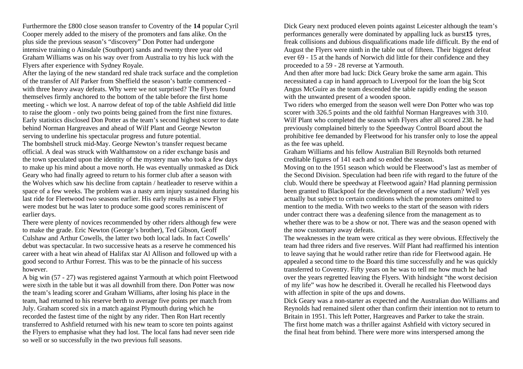Furthermore the £800 close season transfer to Coventry of the **14** popular Cyril Cooper merely added to the misery of the promoters and fans alike. On the plus side the previous season's "discovery" Don Potter had undergone intensive training o Ainsdale (Southport) sands and twenty three year old Graham Williams was on his way over from Australia to try his luck with the Flyers after experience with Sydney Royale.

After the laying of the new standard red shale track surface and the completion of the transfer of Alf Parker from Sheffield the season's battle commenced with three heavy away defeats. Why were we not surprised? The Flyers found themselves firmly anchored to the bottom of the table before the first home meeting - which we lost. A narrow defeat of top of the table Ashfield did little to raise the gloom - only two points being gained from the first nine fixtures. Early statistics disclosed Don Potter as the team's second highest scorer to date behind Norman Hargreaves and ahead of Wilf Plant and George Newton serving to underline his spectacular progress and future potential.

The bombshell struck mid-May. George Newton's transfer request became official. A deal was struck with Walthamstow on a rider exchange basis and the town speculated upon the identity of the mystery man who took a few days to make up his mind about a move north. He was eventually unmasked as Dick Geary who had finally agreed to return to his former club after a season with the Wolves which saw his decline from captain / heatleader to reserve within a space of a few weeks. The problem was a nasty arm injury sustained during his last ride for Fleetwood two seasons earlier. His early results as a new Flyer were modest but he was later to produce some good scores reminiscent of earlier days.

There were plenty of novices recommended by other riders although few were to make the grade. Eric Newton (George's brother), Ted Gibson, Geoff Culshaw and Arthur Cowells, the latter two both local lads. In fact Cowells' debut was spectacular. In two successive heats as a reserve he commenced his career with a heat win ahead of Halifax star Al Allison and followed up with a good second to Arthur Forrest. This was to be the pinnacle of his success however.

A big win (57 - 27) was registered against Yarmouth at which point Fleetwood were sixth in the table but it was all downhill from there. Don Potter was now the team's leading scorer and Graham Williams, after losing his place in the team, had returned to his reserve berth to average five points per match from July. Graham scored six in a match against Plymouth during which he recorded the fastest time of the night by any rider. Then Ron Hart recently transferred to Ashfield returned with his new team to score ten points against the Flyers to emphasise what they had lost. The local fans had never seen ride so well or so successfully in the two previous full seasons.

Dick Geary next produced eleven points against Leicester although the team's performances generally were dominated by appalling luck as burst**15** tyres, freak collisions and dubious disqualifications made life difficult. By the end of August the Flyers were ninth in the table out of fifteen. Their biggest defeat ever 69 - 15 at the hands of Norwich did little for their confidence and they proceeded to a 59 - 28 reverse at Yarmouth.

And then after more bad luck: Dick Geary broke the same arm again. This necessitated a cap in hand approach to Liverpool for the loan the big Scot Angus McGuire as the team descended the table rapidly ending the season with the unwanted present of a wooden spoon.

Two riders who emerged from the season well were Don Potter who was top scorer with 326.5 points and the old faithful Norman Hargreaves with 310. Wilf Plant who completed the season with Flyers after all scored 238. he had previously complained bitterly to the Speedway Control Board about the prohibitive fee demanded by Fleetwood for his transfer only to lose the appeal as the fee was upheld.

Graham Williams and his fellow Australian Bill Reynolds both returned creditable figures of 141 each and so ended the season.

Moving on to the 1951 season which would be Fleetwood's last as member of the Second Division. Speculation had been rife with regard to the future of the club. Would there be speedway at Fleetwood again? Had planning permission been granted to Blackpool for the development of a new stadium? Well yes actually but subject to certain conditions which the promoters omitted to mention to the media. With two weeks to the start of the season with riders under contract there was a deafening silence from the management as to whether there was to be a show or not. There was and the season opened with the now customary away defeats.

The weaknesses in the team were critical as they were obvious. Effectively the team had three riders and five reserves. Wilf Plant had reaffirmed his intention to leave saying that he would rather retire than ride for Fleetwood again. He appealed a second time to the Board this time successfully and he was quickly transferred to Coventry. Fifty years on he was to tell me how much he had over the years regretted leaving the Flyers. With hindsight "the worst decision of my life" was how he described it. Overall he recalled his Fleetwood days with affection in spite of the ups and downs.

Dick Geary was a non-starter as expected and the Australian duo Williams and Reynolds had remained silent other than confirm their intention not to return to Britain in 1951. This left Potter, Hargreaves and Parker to take the strain. The first home match was a thriller against Ashfield with victory secured in the final heat from behind. There were more wins interspersed among the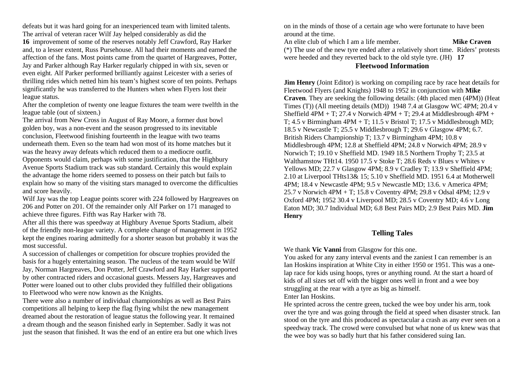defeats but it was hard going for an inexperienced team with limited talents. The arrival of veteran racer Wilf Jay helped considerably as did the **16** improvement of some of the reserves notably Jeff Crawford, Ray Harker and, to a lesser extent, Russ Pursehouse. All had their moments and earned the affection of the fans. Most points came from the quartet of Hargreaves, Potter, Jay and Parker although Ray Harker regularly chipped in with six, seven or even eight. Alf Parker performed brilliantly against Leicester with a series of

thrilling rides which netted him his team's highest score of ten points. Perhaps significantly he was transferred to the Hunters when when Flyers lost their league status.

After the completion of twenty one league fixtures the team were twelfth in the league table (out of sixteen.)

The arrival from New Cross in August of Ray Moore, a former dust bowl golden boy, was a non-event and the season progressed to its inevitable conclusion, Fleetwood finishing fourteenth in the league with two teams underneath them. Even so the team had won most of its home matches but it was the heavy away defeats which reduced them to a mediocre outfit. Opponents would claim, perhaps with some justification, that the Highbury Avenue Sports Stadium track was sub standard. Certainly this would explain the advantage the home riders seemed to possess on their patch but fails to explain how so many of the visiting stars managed to overcome the difficulties and score heavily.

Wilf Jay was the top League points scorer with 224 followed by Hargreaves on 206 and Potter on 201. Of the remainder only Alf Parker on 171 managed to achieve three figures. Fifth was Ray Harker with 78.

After all this there was speedway at Highbury Avenue Sports Stadium, albeit of the friendly non-league variety. A complete change of management in 1952 kept the engines roaring admittedly for a shorter season but probably it was the most successful.

A succession of challenges or competition for obscure trophies provided the basis for a hugely entertaining season. The nucleus of the team would be Wilf Jay, Norman Hargreaves, Don Potter, Jeff Crawford and Ray Harker supported by other contracted riders and occasional guests. Messers Jay, Hargreaves and Potter were loaned out to other clubs provided they fulfilled their obligations to Fleetwood who were now known as the Knights.

There were also a number of individual championships as well as Best Pairs competitions all helping to keep the flag flying whilst the new management dreamed about the restoration of league status the following year. It remained a dream though and the season finished early in September. Sadly it was not just the season that finished. It was the end of an entire era but one which lives on in the minds of those of a certain age who were fortunate to have been around at the time.

An elite club of which I am a life member. **Mike Craven** (\*) The use of the new tyre ended after a relatively short time. Riders' protests were heeded and they reverted back to the old style tyre. (JH) **17**

## **Fleetwood Information**

**Jim Henry** (Joint Editor) is working on compiling race by race heat details for Fleetwood Flyers (and Knights) 1948 to 1952 in conjunction with **Mike Craven**. They are seeking the following details: (4th placed men (4PM)) (Heat Times (T)) (All meeting details (MD)) 1948 7.4 at Glasgow WC 4PM; 20.4 v Sheffield  $4PM + T$ ; 27.4 v Norwich  $4PM + T$ ; 29.4 at Middlesbrough  $4PM +$ T;  $4.5$  v Birmingham  $4PM + T$ ;  $11.5$  v Bristol T;  $17.5$  v Middlesbrough MD; 18.5 v Newcastle T; 25.5 v Middlesbrough T; 29.6 v Glasgow 4PM; 6.7. British Riders Championship T; 13.7 v Birmingham 4PM; 10.8 v Middlesbrough 4PM; 12.8 at Sheffield 4PM; 24.8 v Norwich 4PM; 28.9 v Norwich T; 19.10 v Sheffield MD. 1949 18.5 Northern Trophy T; 23.5 at Walthamstow THt14. 1950 17.5 v Stoke T; 28.6 Reds v Blues v Whites v Yellows MD; 22.7 v Glasgow 4PM; 8.9 v Cradley T; 13.9 v Sheffield 4PM; 2.10 at Liverpool THts13& 15; 5.10 v Sheffield MD. 1951 6.4 at Motherwell 4PM; 18.4 v Newcastle 4PM; 9.5 v Newcastle MD; 13.6. v America 4PM; 25.7 v Norwich 4PM + T; 15.8 v Coventry 4PM; 29.8 v Odsal 4PM; 12.9 v Oxford 4PM; 1952 30.4 v Liverpool MD; 28.5 v Coventry MD; 4.6 v Long Eaton MD; 30.7 Individual MD; 6.8 Best Pairs MD; 2.9 Best Pairs MD. **Jim Henry**

### **Telling Tales**

We thank **Vic Vanni** from Glasgow for this one.

You asked for any zany interval events and the zaniest I can remember is an Ian Hoskins inspiration at White City in either 1950 or 1951. This was a onelap race for kids using hoops, tyres or anything round. At the start a hoard of kids of all sizes set off with the bigger ones well in front and a wee boy struggling at the rear with a tyre as big as himself. Enter Ian Hoskins.

He sprinted across the centre green, tucked the wee boy under his arm, took over the tyre and was going through the field at speed when disaster struck. Ian stood on the tyre and this produced as spectacular a crash as any ever seen on a speedway track. The crowd were convulsed but what none of us knew was that the wee boy was so badly hurt that his father considered suing Ian.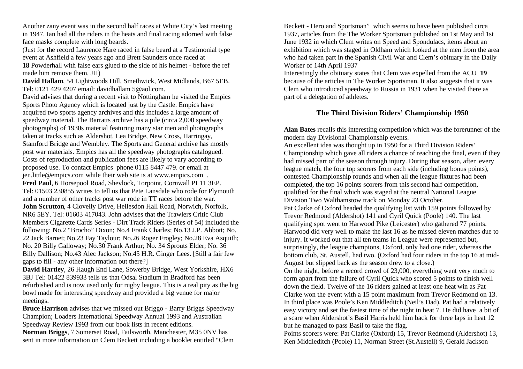Another zany event was in the second half races at White City's last meeting in 1947. Ian had all the riders in the heats and final racing adorned with false face masks complete with long beards.

(Just for the record Laurence Hare raced in false beard at a Testimonial type event at Ashfield a few years ago and Brett Saunders once raced at

**18** Powderhall with false ears glued to the side of his helmet - before the ref made him remove them. JH)

**David Hallam**, 54 Lightwoods Hill, Smethwick, West Midlands, B67 5EB. Tel: 0121 429 4207 email: davidhallam 5@aol.com.

David advises that during a recent visit to Nottingham he visited the Empics Sports Photo Agency which is located just by the Castle. Empics have acquired two sports agency archives and this includes a large amount of speedway material. The Barratts archive has a pile (circa 2,000 speedway photographs) of 1930s material featuring many star men and photographs taken at tracks such as Aldershot, Lea Bridge, New Cross, Harringay, Stamford Bridge and Wembley. The Sports and General archive has mostly post war materials. Empics has all the speedway photographs catalogued. Costs of reproduction and publication fees are likely to vary according to proposed use. To contact Empics phone 0115 8447 479. or email at jen.little@empics.com while their web site is at www.empics.com . **Fred Paul**, 6 Horsepool Road, Shevlock, Torpoint, Cornwall PL11 3EP. Tel: 01503 230855 writes to tell us that Pete Lansdale who rode for Plymouth and a number of other tracks post war rode in TT races before the war. **John Scrutton**, 4 Clovelly Drive, Hellesdon Hall Road, Norwich, Norfolk, NR6 5EY. Tel: 01603 417043. John advises that the Trawlers Critic Club Members Cigarette Cards Series - Dirt Track Riders (Series of 54) included the following: No.2 "Brocho" Dixon; No.4 Frank Charles; No.13 J.P. Abbott; No. 22 Jack Barnet; No.23 Fay Taylour; No.26 Roger Frogley; No.28 Eva Asquith; No. 20 Billy Galloway; No.30 Frank Arthur; No. 34 Sprouts Elder; No. 36 Billy Dallison; No.43 Alec Jackson; No.45 H.R. Ginger Lees. [Still a fair few gaps to fill - any other information out there?]

**David Hartley**, 26 Haugh End Lane, Sowerby Bridge, West Yorkshire, HX6 3BJ Tel: 01422 839933 tells us that Odsal Stadium in Bradford has been refurbished and is now used only for rugby league. This is a real pity as the big bowl made for interesting speedway and provided a big venue for major meetings.

**Bruce Harrison** advises that we missed out Briggo - Barry Briggs Speedway Champion; Loaders International Speedway Annual 1993 and Australian Speedway Review 1993 from our book lists in recent editions. **Norman Briggs**, 7 Somerset Road, Failsworth, Manchester, M35 0NV has sent in more information on Clem Beckett including a booklet entitled "Clem Beckett - Hero and Sportsman" which seems to have been published circa 1937, articles from the The Worker Sportsman published on 1st May and 1st June 1932 in which Clem writes on Speed and Spondulacs, items about an exhibition which was staged in Oldham which looked at the men from the area who had taken part in the Spanish Civil War and Clem's obituary in the Daily Worker of 14th April 1937

Interestingly the obituary states that Clem was expelled from the ACU **19**  because of the articles in The Worker Sportsman. It also suggests that it was Clem who introduced speedway to Russia in 1931 when he visited there as part of a delegation of athletes.

### **The Third Division Riders' Championship 1950**

**Alan Bates** recalls this interesting competition which was the forerunner of the modern day Divisional Championship events.

An excellent idea was thought up in 1950 for a Third Division Riders' Championship which gave all riders a chance of reaching the final, even if they had missed part of the season through injury. During that season, after every league match, the four top scorers from each side (including bonus points), contested Championship rounds and when all the league fixtures had been completed, the top 16 points scorers from this second half competition, qualified for the final which was staged at the neutral National League Division Two Walthamstow track on Monday 23 October. Pat Clarke of Oxford headed the qualifying list with 159 points followed by Trevor Redmond (Aldershot) 141 and Cyril Quick (Poole) 140. The last qualifying spot went to Harwood Pike (Leicester) who gathered 77 points.

Harwood did very well to make the last 16 as he missed eleven matches due to injury. It worked out that all ten teams in League were represented but, surprisingly, the league champions, Oxford, only had one rider, whereas the bottom club, St. Austell, had two. (Oxford had four riders in the top 16 at mid-August but slipped back as the season drew to a close.)

On the night, before a record crowd of 23,000, everything went very much to form apart from the failure of Cyril Quick who scored 5 points to finish well down the field. Twelve of the 16 riders gained at least one heat win as Pat Clarke won the event with a 15 point maximum from Trevor Redmond on 13. In third place was Poole's Ken Middleditch (Neil's Dad). Pat had a relatively easy victory and set the fastest time of the night in heat 7. He did have a bit of a scare when Aldershot's Basil Harris held him back for three laps in heat 12 but he managed to pass Basil to take the flag.

Points scorers were: Pat Clarke (Oxford) 15, Trevor Redmond (Aldershot) 13, Ken Middleditch (Poole) 11, Norman Street (St.Austell) 9, Gerald Jackson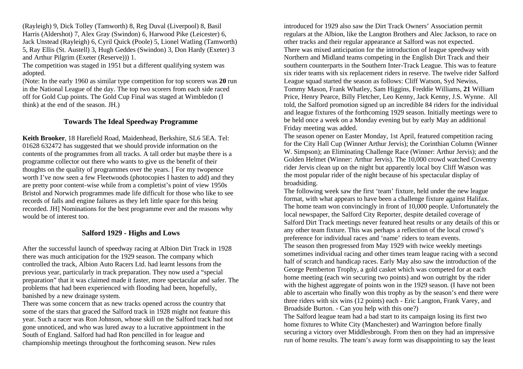(Rayleigh) 9, Dick Tolley (Tamworth) 8, Reg Duval (Liverpool) 8, Basil Harris (Aldershot) 7, Alex Gray (Swindon) 6, Harwood Pike (Leicester) 6, Jack Unstead (Rayleigh) 6, Cyril Quick (Poole) 5, Lionel Watling (Tamworth) 5, Ray Ellis (St. Austell) 3, Hugh Geddes (Swindon) 3, Don Hardy (Exeter) 3 and Arthur Pilgrim (Exeter (Reserve))) 1.

The competition was staged in 1951 but a different qualifying system was adopted.

(Note: In the early 1960 as similar type competition for top scorers was **20** run in the National League of the day. The top two scorers from each side raced off for Gold Cup points. The Gold Cup Final was staged at Wimbledon (I think) at the end of the season. JH.)

## **Towards The Ideal Speedway Programme**

**Keith Brooker**, 18 Harefield Road, Maidenhead, Berkshire, SL6 5EA. Tel: 01628 632472 has suggested that we should provide information on the contents of the programmes from all tracks. A tall order but maybe there is a programme collector out there who wants to give us the benefit of their thoughts on the quality of programmes over the years. [ For my twopence worth I've now seen a few Fleetwoods (photocopies I hasten to add) and they are pretty poor content-wise while from a completist's point of view 1950s Bristol and Norwich programmes made life difficult for those who like to see records of falls and engine failures as they left little space for this being recorded. JH] Nominations for the best programme ever and the reasons why would be of interest too.

### **Salford 1929 - Highs and Lows**

After the successful launch of speedway racing at Albion Dirt Track in 1928 there was much anticipation for the 1929 season. The company which controlled the track, Albion Auto Racers Ltd. had learnt lessons from the previous year, particularly in track preparation. They now used a "special preparation" that it was claimed made it faster, more spectacular and safer. The problems that had been experienced with flooding had been, hopefully, banished by a new drainage system.

There was some concern that as new tracks opened across the country that some of the stars that graced the Salford track in 1928 might not feature this year. Such a racer was Ron Johnson, whose skill on the Salford track had not gone unnoticed, and who was lured away to a lucrative appointment in the South of England. Salford had had Ron pencilled in for league and championship meetings throughout the forthcoming season. New rules

introduced for 1929 also saw the Dirt Track Owners' Association permit regulars at the Albion, like the Langton Brothers and Alec Jackson, to race on other tracks and their regular appearance at Salford was not expected. There was mixed anticipation for the introduction of league speedway with Northern and Midland teams competing in the English Dirt Track and their southern counterparts in the Southern Inter-Track League. This was to feature six rider teams with six replacement riders in reserve. The twelve rider Salford League squad started the season as follows: Cliff Watson, Syd Newiss, Tommy Mason, Frank Whatley, Sam Higgins, Freddie Williams, **21** William Price, Henry Pearce, Billy Fletcher, Leo Kenny, Jack Kenny, J.S. Wynne. All told, the Salford promotion signed up an incredible 84 riders for the individual and league fixtures of the forthcoming 1929 season. Initially meetings were to be held once a week on a Monday evening but by early May an additional Friday meeting was added.

The season opener on Easter Monday, 1st April, featured competition racing for the City Hall Cup (Winner Arthur Jervis); the Corinthian Column (Winner W. Simpson); an Eliminating Challenge Race (Winner: Arthur Jervis); and the Golden Helmet (Winner: Arthur Jervis). The 10,000 crowd watched Coventry rider Jervis clean up on the night but apparently local boy Cliff Watson was the most popular rider of the night because of his spectacular display of broadsiding.

The following week saw the first 'team' fixture, held under the new league format, with what appears to have been a challenge fixture against Halifax. The home team won convincingly in front of 10,000 people. Unfortunately the local newspaper, the Salford City Reporter, despite detailed coverage of Salford Dirt Track meetings never featured heat results or any details of this or any other team fixture. This was perhaps a reflection of the local crowd's preference for individual races and 'name' riders to team events. The season then progressed from May 1929 with twice weekly meetings sometimes individual racing and other times team league racing with a second half of scratch and handicap races. Early May also saw the introduction of the George Pemberton Trophy, a gold casket which was competed for at each home meeting (each win securing two points) and won outright by the rider with the highest aggregate of points won in the 1929 season. (I have not been able to ascertain who finally won this trophy as by the season's end there were three riders with six wins (12 points) each - Eric Langton, Frank Varey, and Broadside Burton. - Can you help with this one?)

The Salford league team had a bad start to its campaign losing its first two home fixtures to White City (Manchester) and Warrington before finally securing a victory over Middlesbrough. From then on they had an impressive run of home results. The team's away form was disappointing to say the least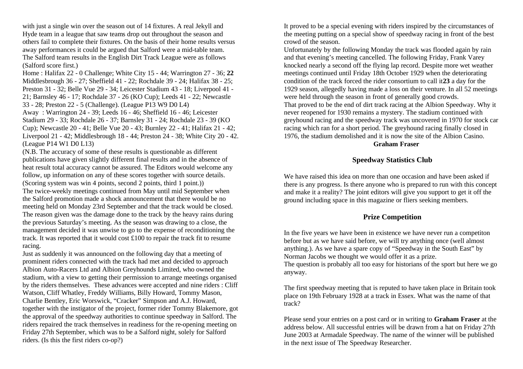with just a single win over the season out of 14 fixtures. A real Jekyll and Hyde team in a league that saw teams drop out throughout the season and others fail to complete their fixtures. On the basis of their home results versus away performances it could be argued that Salford were a mid-table team. The Salford team results in the English Dirt Track League were as follows (Salford score first.)

Home : Halifax 22 - 0 Challenge; White City 15 - 44; Warrington 27 - 36; **22**  Middlesbrough 36 - 27; Sheffield 41 - 22; Rochdale 39 - 24; Halifax 38 - 25; Preston 31 - 32; Belle Vue 29 - 34; Leicester Stadium 43 - 18; Liverpool 41 - 21; Barnsley 46 - 17; Rochdale 37 - 26 (KO Cup); Leeds 41 - 22; Newcastle 33 - 28; Preston 22 - 5 (Challenge). (League P13 W9 D0 L4)

Away : Warrington 24 - 39; Leeds 16 - 46; Sheffield 16 - 46; Leicester Stadium 29 - 33; Rochdale 26 - 37; Barnsley 31 - 24; Rochdale 23 - 39 (KO Cup); Newcastle 20 - 41; Belle Vue 20 - 43; Burnley 22 - 41; Halifax 21 - 42; Liverpool 21 - 42; Middlesbrough 18 - 44; Preston 24 - 38; White City 20 - 42. (League P14 W1 D0 L13)

(N.B. The accuracy of some of these results is questionable as different publications have given slightly different final results and in the absence of heat result total accuracy cannot be assured. The Editors would welcome any follow, up information on any of these scores together with source details.

(Scoring system was win 4 points, second 2 points, third 1 point.)) The twice-weekly meetings continued from May until mid September when the Salford promotion made a shock announcement that there would be no meeting held on Monday 23rd September and that the track would be closed. The reason given was the damage done to the track by the heavy rains during the previous Saturday's meeting. As the season was drawing to a close, the management decided it was unwise to go to the expense of reconditioning the track. It was reported that it would cost £100 to repair the track fit to resume racing.

Just as suddenly it was announced on the following day that a meeting of prominent riders connected with the track had met and decided to approach Albion Auto-Racers Ltd and Albion Greyhounds Limited, who owned the stadium, with a view to getting their permission to arrange meetings organised by the riders themselves. These advances were accepted and nine riders : Cliff Watson, Cliff Whatley, Freddy Williams, Billy Howard, Tommy Mason, Charlie Bentley, Eric Worswick, "Cracker" Simpson and A.J. Howard, together with the instigator of the project, former rider Tommy Blakemore, got the approval of the speedway authorities to continue speedway in Salford. The riders repaired the track themselves in readiness for the re-opening meeting on Friday 27th September, which was to be a Salford night, solely for Salford riders. (Is this the first riders co-op?)

It proved to be a special evening with riders inspired by the circumstances of the meeting putting on a special show of speedway racing in front of the best crowd of the season.

Unfortunately by the following Monday the track was flooded again by rain and that evening's meeting cancelled. The following Friday, Frank Varey knocked nearly a second off the flying lap record. Despite more wet weather meetings continued until Friday 18th October 1929 when the deteriorating condition of the track forced the rider consortium to call it**23** a day for the 1929 season, allegedly having made a loss on their venture. In all 52 meetings were held through the season in front of generally good crowds. That proved to be the end of dirt track racing at the Albion Speedway. Why it never reopened for 1930 remains a mystery. The stadium continued with greyhound racing and the speedway track was uncovered in 1970 for stock car racing which ran for a short period. The greyhound racing finally closed in 1976, the stadium demolished and it is now the site of the Albion Casino.

#### **Graham Fraser**

### **Speedway Statistics Club**

We have raised this idea on more than one occasion and have been asked if there is any progress. Is there anyone who is prepared to run with this concept and make it a reality? The joint editors will give you support to get it off the ground including space in this magazine or fliers seeking members.

### **Prize Competition**

In the five years we have been in existence we have never run a competiton before but as we have said before, we will try anything once (well almost anything.). As we have a spare copy of "Speedway in the South East" by Norman Jacobs we thought we would offer it as a prize.

The question is probably all too easy for historians of the sport but here we go anyway.

The first speedway meeting that is reputed to have taken place in Britain took place on 19th February 1928 at a track in Essex. What was the name of that track?

Please send your entries on a post card or in writing to **Graham Fraser** at the address below. All successful entries will be drawn from a hat on Friday 27th June 2003 at Armadale Speedway. The name of the winner will be published in the next issue of The Speedway Researcher.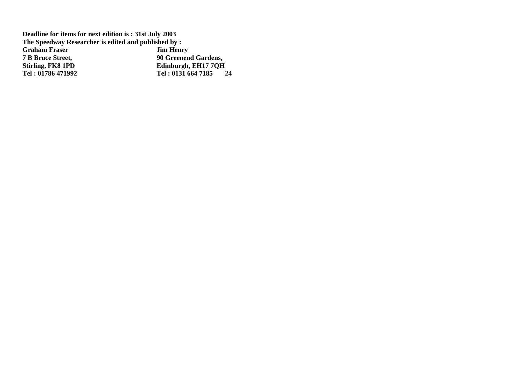**Deadline for items for next edition is : 31st July 2003 The Speedway Researcher is edited and published by :<br>Graham Fraser Jim Henry Graham Fraser<br>
<b>7 B Bruce Street, 7 B Bruce Street, 90 Greenend Gardens, Stirling, FK8 1PD**<br> **Fel:** 01786 471992<br> **Edinburgh, EH17 7QH**<br> **Fel:** 0131 664 7185 **Tel : 01786 471992 Tel : 0131 664 7185 24**